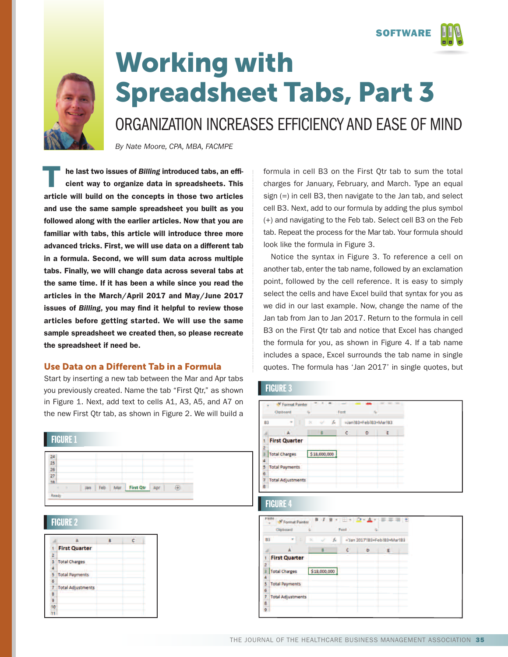**SOFTWARE**





## **Working with Spreadsheet Tabs, Part 3**

ORGANIZATION INCREASES EFFICIENCY AND EASE OF MIND

*By Nate Moore, CPA, MBA, FACMPE*

**he last two issues of** *Billing* **introduced tabs, an efficient way to organize data in spreadsheets. This article will build on the concepts in those two articles and use the same sample spreadsheet you built as you followed along with the earlier articles. Now that you are familiar with tabs, this article will introduce three more advanced tricks. First, we will use data on a different tab in a formula. Second, we will sum data across multiple tabs. Finally, we will change data across several tabs at the same time. If it has been a while since you read the articles in the March/April 2017 and May/June 2017 issues of** *Billing***, you may find it helpful to review those articles before getting started. We will use the same sample spreadsheet we created then, so please recreate the spreadsheet if need be. T**

## **Use Data on a Different Tab in a Formula**

Start by inserting a new tab between the Mar and Apr tabs you previously created. Name the tab "First Qtr," as shown in Figure 1. Next, add text to cells A1, A3, A5, and A7 on the new First Qtr tab, as shown in Figure 2. We will build a



## FIGURE 2

|    | <b>First Quarter</b>     |  |
|----|--------------------------|--|
| 2  |                          |  |
|    | <b>Total Charges</b>     |  |
|    |                          |  |
| 5  | <b>Total Payments</b>    |  |
| 6  |                          |  |
|    | <b>Total Adjustments</b> |  |
| 8  |                          |  |
| 9  |                          |  |
| 10 |                          |  |
|    |                          |  |

formula in cell B3 on the First Qtr tab to sum the total charges for January, February, and March. Type an equal sign (=) in cell B3, then navigate to the Jan tab, and select cell B3. Next, add to our formula by adding the plus symbol (+) and navigating to the Feb tab. Select cell B3 on the Feb tab. Repeat the process for the Mar tab. Your formula should look like the formula in Figure 3.

Notice the syntax in Figure 3. To reference a cell on another tab, enter the tab name, followed by an exclamation point, followed by the cell reference. It is easy to simply select the cells and have Excel build that syntax for you as we did in our last example. Now, change the name of the Jan tab from Jan to Jan 2017. Return to the formula in cell B3 on the First Qtr tab and notice that Excel has changed the formula for you, as shown in Figure 4. If a tab name includes a space, Excel surrounds the tab name in single quotes. The formula has 'Jan 2017' in single quotes, but

## **FIGURE 3**

|           | Clipboard                | 槛         |              | Forit | m                     |   |  |
|-----------|--------------------------|-----------|--------------|-------|-----------------------|---|--|
| <b>B3</b> | ٠<br>ŝ                   | $\propto$ | fx           |       | =Jan!B3+Feb!B3+Mar!B3 |   |  |
|           |                          |           | B            | ċ     | D                     | E |  |
|           | <b>First Quarter</b>     |           |              |       |                       |   |  |
|           |                          |           |              |       |                       |   |  |
|           | <b>Total Charges</b>     |           | \$18,000,000 |       |                       |   |  |
|           |                          |           |              |       |                       |   |  |
|           | <b>Total Payments</b>    |           |              |       |                       |   |  |
| 6         |                          |           |              |       |                       |   |  |
|           | <b>Total Adjustments</b> |           |              |       |                       |   |  |
| 8         |                          |           |              |       |                       |   |  |

## FIGURE 4

|                                | Clipboard<br>Font<br>6<br>指 |                                                     |                              |   |   |  |  |
|--------------------------------|-----------------------------|-----------------------------------------------------|------------------------------|---|---|--|--|
| <b>B3</b><br>$\mathbb{R}$<br>٠ |                             | $f_{\rm x}$<br>$\infty$<br>$\overline{\phantom{a}}$ | ='Jan 2017'IB3+FebIB3+MarIB3 |   |   |  |  |
|                                |                             | B                                                   |                              | D | E |  |  |
|                                | <b>First Quarter</b>        |                                                     |                              |   |   |  |  |
|                                |                             |                                                     |                              |   |   |  |  |
|                                | <b>Total Charges</b>        | \$18,000,000                                        |                              |   |   |  |  |
|                                |                             |                                                     |                              |   |   |  |  |
| 5                              | <b>Total Payments</b>       |                                                     |                              |   |   |  |  |
| 6                              |                             |                                                     |                              |   |   |  |  |
|                                | <b>Total Adjustments</b>    |                                                     |                              |   |   |  |  |
| 8                              |                             |                                                     |                              |   |   |  |  |
| o                              |                             |                                                     |                              |   |   |  |  |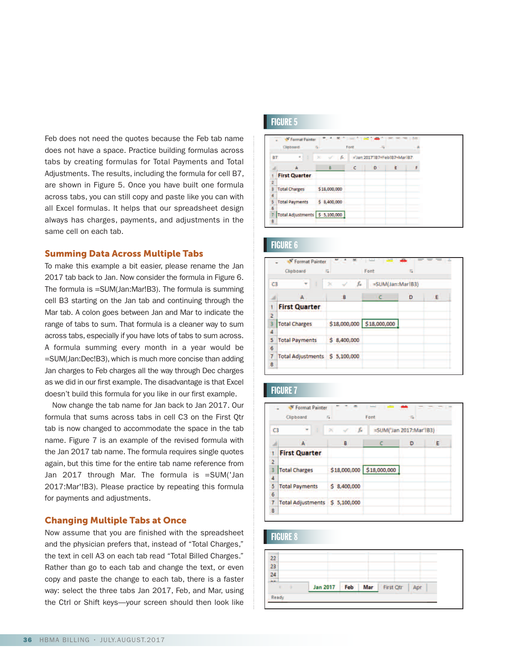Feb does not need the quotes because the Feb tab name does not have a space. Practice building formulas across tabs by creating formulas for Total Payments and Total Adjustments. The results, including the formula for cell B7, are shown in Figure 5. Once you have built one formula across tabs, you can still copy and paste like you can with all Excel formulas. It helps that our spreadsheet design always has charges, payments, and adjustments in the same cell on each tab.

### **Summing Data Across Multiple Tabs**

To make this example a bit easier, please rename the Jan 2017 tab back to Jan. Now consider the formula in Figure 6. The formula is =SUM(Jan:Mar!B3). The formula is summing cell B3 starting on the Jan tab and continuing through the Mar tab. A colon goes between Jan and Mar to indicate the range of tabs to sum. That formula is a cleaner way to sum across tabs, especially if you have lots of tabs to sum across. A formula summing every month in a year would be =SUM(Jan:Dec!B3), which is much more concise than adding Jan charges to Feb charges all the way through Dec charges as we did in our first example. The disadvantage is that Excel doesn't build this formula for you like in our first example.

Now change the tab name for Jan back to Jan 2017. Our formula that sums across tabs in cell C3 on the First Qtr tab is now changed to accommodate the space in the tab name. Figure 7 is an example of the revised formula with the Jan 2017 tab name. The formula requires single quotes again, but this time for the entire tab name reference from Jan 2017 through Mar. The formula is =SUM('Jan 2017:Mar'!B3). Please practice by repeating this formula for payments and adjustments.

## **Changing Multiple Tabs at Once**

Now assume that you are finished with the spreadsheet and the physician prefers that, instead of "Total Charges," the text in cell A3 on each tab read "Total Billed Charges." Rather than go to each tab and change the text, or even copy and paste the change to each tab, there is a faster way: select the three tabs Jan 2017, Feb, and Mar, using the Ctrl or Shift keys—your screen should then look like

## FIGURE 5

|           | Clipboard                        | 槛            | Font | $-\overline{r_2}$            |   |  |
|-----------|----------------------------------|--------------|------|------------------------------|---|--|
| <b>B7</b> | ÷<br>B                           | ×<br>fx.     |      | ='Jan 2017'187+Feb187+Mar187 |   |  |
|           |                                  | B            |      | D                            | E |  |
|           | <b>First Quarter</b>             |              |      |                              |   |  |
| 2         |                                  |              |      |                              |   |  |
| з         | <b>Total Charges</b>             | \$18,000,000 |      |                              |   |  |
| ă         |                                  |              |      |                              |   |  |
| 5         | <b>Total Payments</b>            | \$8,400,000  |      |                              |   |  |
| 6         |                                  |              |      |                              |   |  |
|           | Total Adjustments   \$ 5,100,000 |              |      |                              |   |  |
| A         |                                  |              |      |                              |   |  |

## FIGURE 6

| C <sub>3</sub> | 8                        | £           | =SUM(Jan:Mar!B3)          |   |   |  |  |
|----------------|--------------------------|-------------|---------------------------|---|---|--|--|
|                |                          | В           |                           | D | Е |  |  |
|                | <b>First Quarter</b>     |             |                           |   |   |  |  |
| $\overline{2}$ |                          |             |                           |   |   |  |  |
| B              | <b>Total Charges</b>     |             | \$18,000,000 \$18,000,000 |   |   |  |  |
| 4              |                          |             |                           |   |   |  |  |
| 5              | <b>Total Payments</b>    | \$8,400,000 |                           |   |   |  |  |
| 6              |                          |             |                           |   |   |  |  |
|                | <b>Total Adjustments</b> | \$5,100,000 |                           |   |   |  |  |
| 8              |                          |             |                           |   |   |  |  |

## FIGURE 7

|                | <sup>S</sup> Format Painter<br>Clipboard | 環           | Font                      | - Ga |   |
|----------------|------------------------------------------|-------------|---------------------------|------|---|
| C <sub>3</sub> | ×                                        | $f_x$       | =SUM('Jan 2017:Mar'!B3)   |      |   |
|                | А                                        | B           |                           | Ð    | Ε |
|                | <b>First Quarter</b>                     |             |                           |      |   |
| $\overline{a}$ |                                          |             |                           |      |   |
| В              | <b>Total Charges</b>                     |             | \$18,000,000 \$18,000,000 |      |   |
| À              |                                          |             |                           |      |   |
| 5              | <b>Total Payments</b>                    | \$8,400,000 |                           |      |   |
| 6              |                                          |             |                           |      |   |
| 7              | <b>Total Adjustments</b>                 | \$5,100,000 |                           |      |   |
| 8              |                                          |             |                           |      |   |

## FIGURE 8

| Ready |                |     |                  |     |
|-------|----------------|-----|------------------|-----|
|       | Jan 2017   Feb | Mar | <b>First Qtr</b> | Ann |
|       |                |     |                  |     |
|       |                |     |                  |     |
| 23    |                |     |                  |     |
|       |                |     |                  |     |